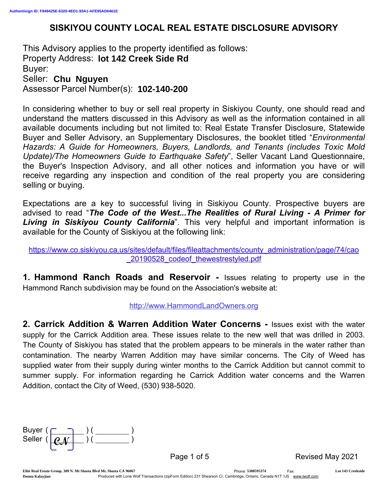# SISKIYOU COUNTY LOCAL REAL ESTATE DISCLOSURE ADVISORY

This Advisory applies to the property identified as follows: Property Address: **lot 142 Creek Side Rd** Buyer: Seller: **Chu Nguyen** Assessor Parcel Number(s): **102-140-200**

In considering whether to buy or sell real property in Siskiyou County, one should read and understand the matters discussed in this Advisory as well as the information contained in all available documents including but not limited to: Real Estate Transfer Disclosure, Statewide Buyer and Seller Advisory, an Supplementary Disclosures, the booklet titled "*Environmental Hazards: A Guide for Homeowners, Buyers, Landlords, and Tenants (includes Toxic Mold Update)/The Homeowners Guide to Earthquake Safety*", Seller Vacant Land Questionnaire, the Buyer's Inspection Advisory, and all other notices and information you have or will receive regarding any inspection and condition of the real property you are considering selling or buying.

Expectations are a key to successful living in Siskiyou County. Prospective buyers are advised to read "*The Code of the West...The Realities of Rural Living - A Primer for Living in Siskiyou County California*". This very helpful and important information is available for the County of Siskiyou at the following link:

https://www.co.siskiyou.ca.us/sites/default/files/fileattachments/county\_administration/page/74/cao \_20190528\_codeof\_thewestrestyled.pdf

1. Hammond Ranch Roads and Reservoir - Issues relating to property use in the Hammond Ranch subdivision may be found on the Association's website at:

http://www.HammondLandOwners.org

2. Carrick Addition & Warren Addition Water Concerns - Issues exist with the water supply for the Carrick Addition area. These issues relate to the new well that was drilled in 2003. The County of Siskiyou has stated that the problem appears to be minerals in the water rather than contamination. The nearby Warren Addition may have similar concerns. The City of Weed has supplied water from their supply during winter months to the Carrick Addition but cannot commit to summer supply. For information regarding he Carrick Addition water concerns and the Warren Addition, contact the City of Weed, (530) 938-5020.

| Buyer (           |  |
|-------------------|--|
| Seller ( $\rho_M$ |  |
|                   |  |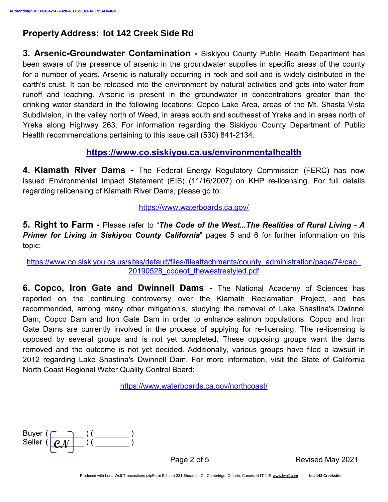**3. Arsenic-Groundwater Contamination - Siskiyou County Public Health Department has** been aware of the presence of arsenic in the groundwater supplies in specific areas of the county for a number of years. Arsenic is naturally occurring in rock and soil and is widely distributed in the earth's crust. It can be released into the environment by natural activities and gets into water from runoff and leaching. Arsenic is present in the groundwater in concentrations greater than the drinking water standard in the following locations: Copco Lake Area, areas of the Mt. Shasta Vista Subdivision, in the valley north of Weed, in areas south and southeast of Yreka and in areas north of Yreka along Highway 263. For information regarding the Siskiyou County Department of Public Health recommendations pertaining to this issue call (530) 841-2134.

## https://www.co.siskiyou.ca.us/environmentalhealth

4. Klamath River Dams - The Federal Energy Regulatory Commission (FERC) has now issued Environmental Impact Statement (EIS) (11/16/2007) on KHP re-licensing. For full details regarding relicensing of Klamath River Dams, please go to:

https://www.waterboards.ca.gov/

5. Right to Farm - Please refer to "*The Code of the West...The Realities of Rural Living - A* **Primer for Living in Siskiyou County California**" pages 5 and 6 for further information on this topic:

https://www.co.siskiyou.ca.us/sites/default/files/fileattachments/county\_administration/page/74/cao\_ 20190528\_codeof\_thewestrestyled.pdf

**6. Copco, Iron Gate and Dwinnell Dams -** The National Academy of Sciences has reported on the continuing controversy over the Klamath Reclamation Project, and has recommended, among many other mitigation's, studying the removal of Lake Shastina's Dwinnel Dam, Copco Dam and Iron Gate Dam in order to enhance salmon populations. Copco and Iron Gate Dams are currently involved in the process of applying for re-licensing. The re-licensing is opposed by several groups and is not yet completed. These opposing groups want the dams removed and the outcome is not yet decided. Additionally, various groups have filed a lawsuit in 2012 regarding Lake Shastina's Dwinnell Dam. For more information, visit the State of California North Coast Regional Water Quality Control Board:

https://www.waterboards.ca.gov/northcoast/

Buyer ( Seller (

Page 2 of 5 Revised May 2021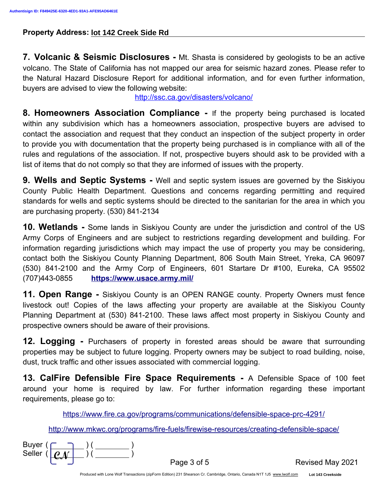**7. Volcanic & Seismic Disclosures -** Mt. Shasta is considered by geologists to be an active volcano. The State of California has not mapped our area for seismic hazard zones. Please refer to the Natural Hazard Disclosure Report for additional information, and for even further information, buyers are advised to view the following website:

http://ssc.ca.gov/disasters/volcano/

8. Homeowners Association Compliance - If the property being purchased is located within any subdivision which has a homeowners association, prospective buyers are advised to contact the association and request that they conduct an inspection of the subject property in order to provide you with documentation that the property being purchased is in compliance with all of the rules and regulations of the association. If not, prospective buyers should ask to be provided with a list of items that do not comply so that they are informed of issues with the property.

**9. Wells and Septic Systems -** Well and septic system issues are governed by the Siskiyou County Public Health Department. Questions and concerns regarding permitting and required standards for wells and septic systems should be directed to the sanitarian for the area in which you are purchasing property. (530) 841-2134

**10. Wetlands** - Some lands in Siskiyou County are under the jurisdiction and control of the US Army Corps of Engineers and are subject to restrictions regarding development and building. For information regarding jurisdictions which may impact the use of property you may be considering, contact both the Siskiyou County Planning Department, 806 South Main Street, Yreka, CA 96097 (530) 841-2100 and the Army Corp of Engineers, 601 Startare Dr #100, Eureka, CA 95502 (707)443-0855 https://www.usace.army.mil/

**11. Open Range -** Siskiyou County is an OPEN RANGE county. Property Owners must fence livestock out! Copies of the laws affecting your property are available at the Siskiyou County Planning Department at (530) 841-2100. These laws affect most property in Siskiyou County and prospective owners should be aware of their provisions.

**12. Logging -** Purchasers of property in forested areas should be aware that surrounding properties may be subject to future logging. Property owners may be subject to road building, noise, dust, truck traffic and other issues associated with commercial logging.

13. CalFire Defensible Fire Space Requirements - A Defensible Space of 100 feet around your home is required by law. For further information regarding these important requirements, please go to:

https://www.fire.ca.gov/programs/communications/defensible-space-prc-4291/

http://www.mkwc.org/programs/fire-fuels/firewise-resources/creating-defensible-space/

| Buyer (           |  |  |
|-------------------|--|--|
| Seller $( \rho_M$ |  |  |
|                   |  |  |

Page 3 of 5 Revised May 2021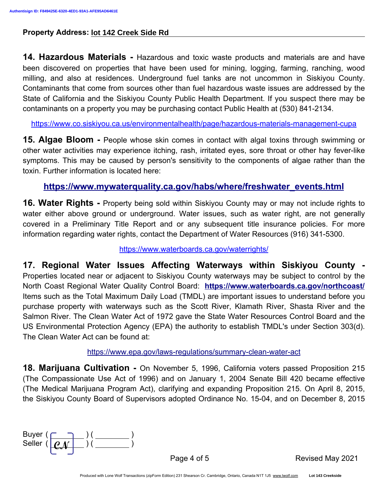**14. Hazardous Materials -** Hazardous and toxic waste products and materials are and have been discovered on properties that have been used for mining, logging, farming, ranching, wood milling, and also at residences. Underground fuel tanks are not uncommon in Siskiyou County. Contaminants that come from sources other than fuel hazardous waste issues are addressed by the State of California and the Siskiyou County Public Health Department. If you suspect there may be contaminants on a property you may be purchasing contact Public Health at (530) 841-2134.

https://www.co.siskiyou.ca.us/environmentalhealth/page/hazardous-materials-management-cupa

**15. Algae Bloom -** People whose skin comes in contact with algal toxins through swimming or other water activities may experience itching, rash, irritated eyes, sore throat or other hay fever-like symptoms. This may be caused by person's sensitivity to the components of algae rather than the toxin. Further information is located here:

### https://www.mywaterquality.ca.gov/habs/where/freshwater\_events.html

16. Water Rights - Property being sold within Siskiyou County may or may not include rights to water either above ground or underground. Water issues, such as water right, are not generally covered in a Preliminary Title Report and or any subsequent title insurance policies. For more information regarding water rights, contact the Department of Water Resources (916) 341-5300.

https://www.waterboards.ca.gov/waterrights/

17. Regional Water Issues Affecting Waterways within Siskiyou County - Properties located near or adjacent to Siskiyou County waterways may be subject to control by the North Coast Regional Water Quality Control Board: https://www.waterboards.ca.gov/northcoast/ Items such as the Total Maximum Daily Load (TMDL) are important issues to understand before you purchase property with waterways such as the Scott River, Klamath River, Shasta River and the Salmon River. The Clean Water Act of 1972 gave the State Water Resources Control Board and the US Environmental Protection Agency (EPA) the authority to establish TMDL's under Section 303(d). The Clean Water Act can be found at:

https://www.epa.gov/laws-regulations/summary-clean-water-act

**18. Marijuana Cultivation -** On November 5, 1996, California voters passed Proposition 215 (The Compassionate Use Act of 1996) and on January 1, 2004 Senate Bill 420 became effective (The Medical Marijuana Program Act), clarifying and expanding Proposition 215. On April 8, 2015, the Siskiyou County Board of Supervisors adopted Ordinance No. 15-04, and on December 8, 2015

| Buyer (           |  |
|-------------------|--|
| Seller ( $\rho_M$ |  |
|                   |  |

Page 4 of 5 Revised May 2021